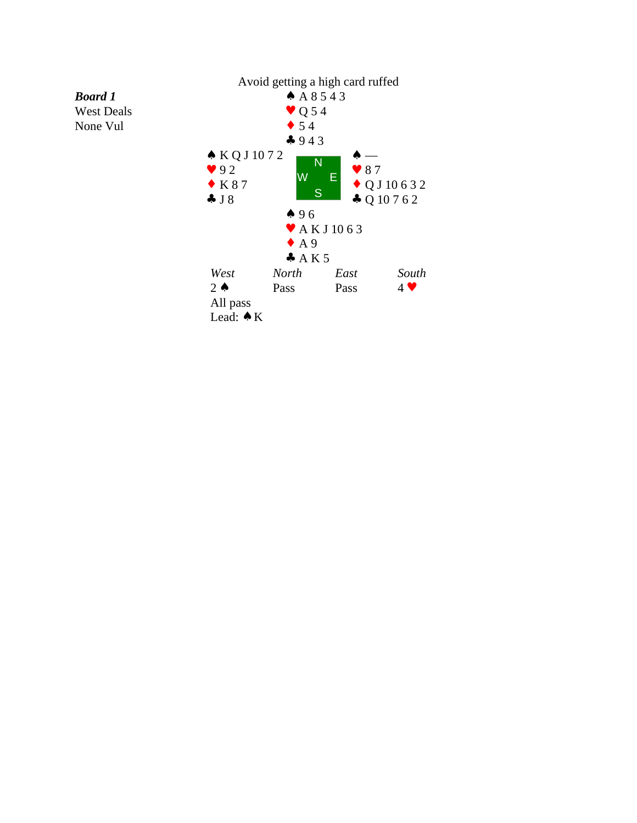

*Board 1* West Deals None Vul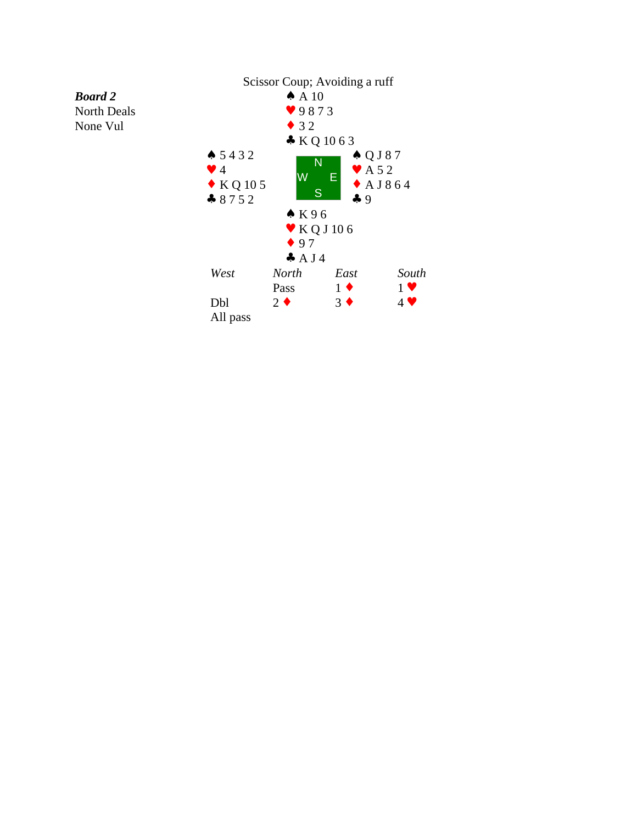

None Vul

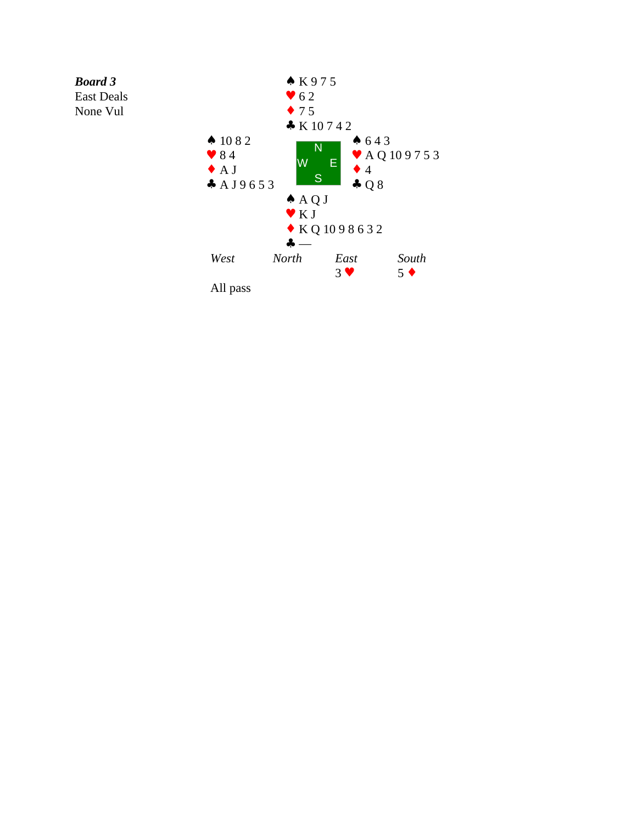